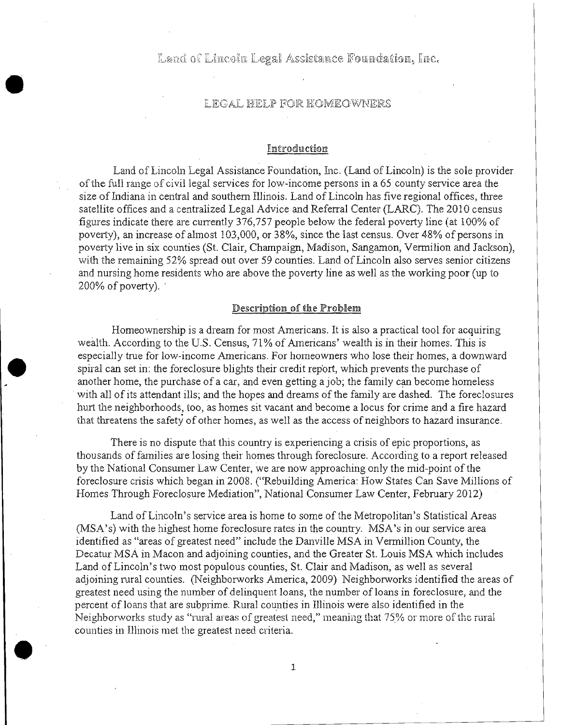Land of Lincoln Legal Assistance Foundation, Inc.

## LEGAL FELP FOR EOMEOWNERS

•

•

•

### Introduction

Land of Lincoln Legal Assistance Foundation, Inc. (Land of Lincoln) is the sole provider of the full range of civil legal services for low-income persons in a 65 county service area the size of Indiana in central and southern Illinois. Land of Lincoln has five regional offices, three satellite offices and a centralized Legal Advice and Referral Center (LARC). The 2010 census figures indicate there are currently 376,757 people below the federal poverty line (at 100% of poverty), an increase of almost 103,000, or 38%, since the last census. Over 48% of persons in poverty live in six counties (St. Clair, Champaign, Madison, Sangamon, Vermilion and Jackson), with the remaining 52% spread out over 59 counties. Land of Lincoln also serves senior citizens and nursing home residents who are above the poverty line as well as the working poor (up to  $200\%$  of poverty).

### Description of the Problem

Homeownership is a dream for most Americans. It is also a practical tool for acquiring wealth. According to the U.S. Census, 71% of Americans' wealth is in their homes. This is especially true for low-income Americans. For homeowners who lose their homes, a downward spiral can set in: the foreclosure blights their credit report, which prevents the purchase of another home, the purchase of a car, and even getting a job; the family can become homeless . with all of its attendant ills; and the hopes and dreams of the family are dashed. The foreclosures hurt the neighborhoods, too, as homes sit vacant and become a locus for crime and a fire hazard that threatens the safety of other homes, as well as the access of neighbors to hazard insurance.

There is no dispute that this country is experiencing a crisis of epic proportions, as thousands of families are losing their homes through foreclosure. According to a report released by the National Consumer Law Center, we are now approaching only the mid-point of the foreclosure crisis which began in 2008. ("Rebuilding America: How States Can Save Millions of Homes Through Foreclosure Mediation", National Consumer Law Center, February 2012)

Land of Lincoln's service area is home to some of the Metropolitan's Statistical Areas (MSA's) with the highest home foreclosure rates in the country. MSA's in our service area identified as "areas of greatest need" include the Danville MSA in Vermillion County, the Decatur MSA in Macon and adjoining counties, and the Greater St. Louis MSA which includes Land of Lincoln's two most populous counties, St. Clair and Madison, as well as several adjoining rural counties. (Neighborworks America, 2009) Neighborworks identified the areas of greatest need using the number of delinquent loans, the number of loans in foreclosure, and the percent of loans that are subprime. Rural counties in Illinois were also identified in the Neighborworks study as "rural areas of greatest need," meaning that 75% or more of the rural counties in Illinois met the greatest need criteria.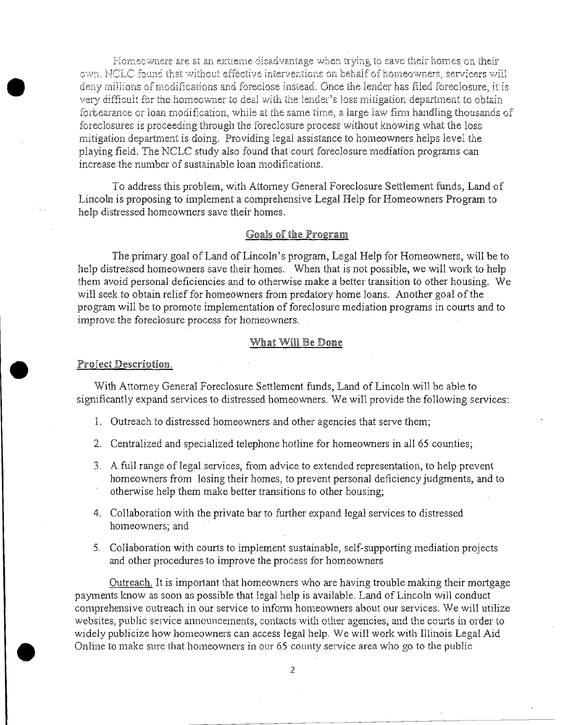Homeowners are at an extreme disadvantage when trying to save their homes on their own. NCLC found that without effective interventions on behalf of homeowners, servicers will deny millions ofmodificarions and foreclose instead. Once the lender has filed foreclosure, it is very difficult for the homeowner to deal with the lender's loss mitigation department to obtain forbearance or loan modification, while at the same time, a large law firm handling thousands of foreclosures is proceeding through the foreclosure process without knowing what the loss mitigation department is doing. Providing legal assistance to homeowners helps level the playing field. The NCLC study also found that court foreclosure mediation programs can increase the number of sustainable loan modifications.

To address this problem, with Attorney General Foreclosure Settlement funds, Land of Lincoln is proposing to implement a comprehensive Legal Help for Homeowners Program to help distressed homeowners save their homes.

### Goals of the Program

The primary goal of Land of Lincoln's program, Legal Help for Homeowners, will be to help distressed homeowners save their homes. When that is not possible, we will work to help them avoid personal deficiencies and to otherwise make a better transition to other housing. We will seek to obtain relief for homeowners from predatory home loans. Another goal of the program will be to promote implementation of foreclosure mediation programs in courts and to improve the foreclosure process for homeowners.

#### What Will Be Done

#### Project Description.

•

•

With Attorney General Foreclosure Settlement funds, Land of Lincoln wiIl be able to significantly expand services to distressed homeowners. We wiIl provide the foIlowing services:

- 1. Outreach to distressed homeowners and other agencies that serve them;
- 2. Centralized and specialized telephone hotline for homeowners in all 65 counties;
- 3. A full range of legal services, from advice to extended representation, to help prevent homeowners from losing their homes, to prevent personal deficiency judgments, and to otherwise help them make better transitions to other housing;
- 4. Collaboration with the private bar to further expand legal services to distressed homeowners; and
- 5. Collaboration with courts to implement sustainable, self-supporting mediation projects and other procedures to improve the process for homeowners

Outreach. It is important that homeowners who are having trouble making their mortgage payments know as soon as possible that legal help is available. Land of Lincoln will conduct comprehensive outreach in our service to inform homeowners about our services. We will utilize websites, public service announcements, contacts with other agencies, and the courts in order to widely publicize how homeowners can access legal help. We will work with IIlinois Legal Aid Online to make sure that homeowners in our 65 county service area who go to the public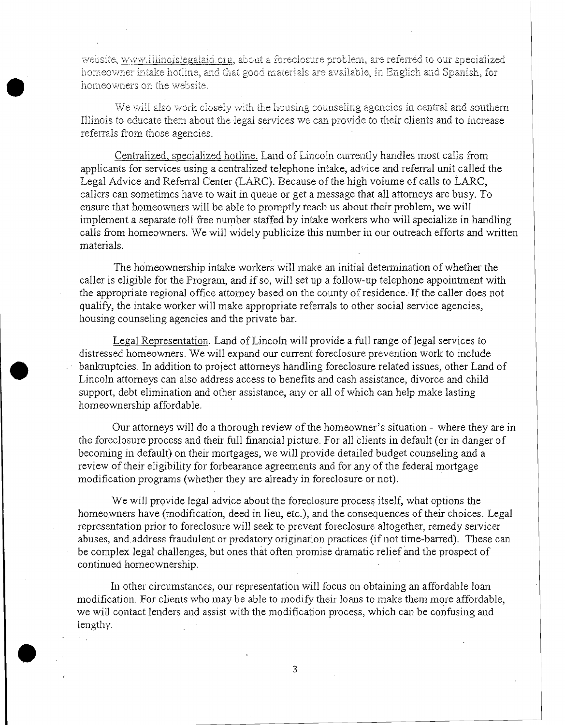website, www.illinoislegalaid.org, about a foreclosure problem, are referred to our specialized homeowner intake hotline, and that good materials are available, in English and Spanish, for homeowners on the website.

We will also work closely with the housing counseling agencies in central and southern Illinois to educate them about the legal services we can provide to their clients and to increase referrals from those agencies.

Centralized, specialized hotline. Land of Lincoln currently handles most calls from applicants for services using a centralized telephone intake, advice and referral unit called the Legal Advice and Referral Center (LARC). Because of the high volume of calls to LARC, callers can sometimes have to wait in queue or get a message that all attorneys are busy. To ensure that homeowners will be able to promptly reach us about their problem, we will implement a separate toll free number staffed by intake workers who will specialize in handling calls from homeowners. We will widely publicize this number in our outreach efforts and written materials.

The homeownership intake workers will make an initial determination of whether the caller is eligible for the Program, and if so, will set up a follow-up telephone appointment with the appropriate regional office attorney based on the county of residence. If the caller does not qualify, the intake worker will make appropriate referrals to other social service agencies, housing counseling agencies and the private bar.

Legal Representation. Land of Lincoln will provide a full range of legal services to distressed homeowners. We will expand our current foreclosure prevention work to include bankruptcies. In addition to project attorneys handling foreclosure related issues, other Land of Lincoln attorneys can also address access to benefits and cash assistance, divorce and child support, debt elimination and other assistance, any or all of which can help make lasting homeownership affordable.

Our attorneys will do a thorough review of the homeowner's situation – where they are in the foreclosure process and their full financial picture. For all clients in default (or in danger of becoming in default) on their mortgages, we will provide detailed budget counseling and a review of their eligibility for forbearance agreements and for any of the federal mortgage modification programs (whether they are already in foreclosure or not).

We will provide legal advice about the foreclosure process itself, what options the homeowners have (modification, deed in lieu, etc.), and the consequences of their choices. Legal representation prior to foreclosure will seek to prevent foreclosure altogether, remedy servicer abuses, and address fraudulent or predatory origination practices (if not time-barred). These can be complex legal challenges, but ones that often promise dramatic relief and the prospect of continued homeownership.

In other circumstances, our representation will focus on obtaining an affordable loan modification. For clients who may be able to modify their loans to make them more affordable, we will contact lenders and assist with the modification process, which can be confusing and lengthy.

 $\mathcal{L}_{\text{max}}$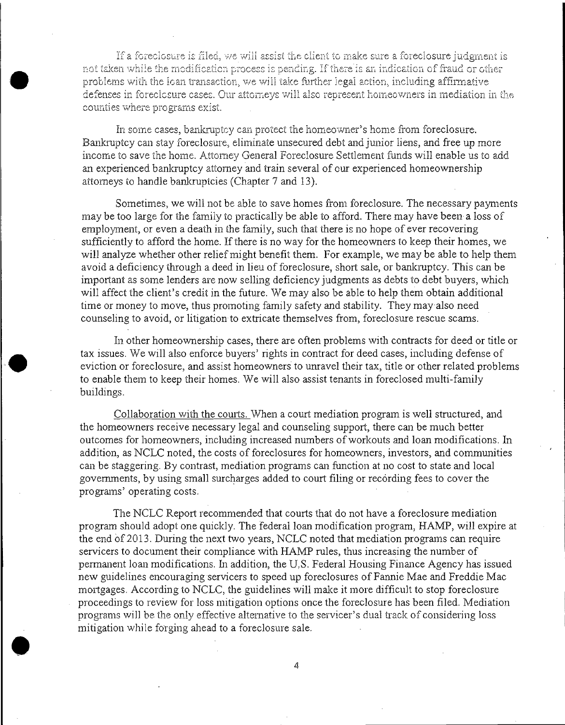If a foreclosure is filed, we will assist the client to make sure a foreclosure judgment is not taken while the modification process is pending. If there is an indication of fraud or other problems with the loan transaction, we will take further legal action, including affirmative defenses in foreclosure cases. Our attorneys will also represent homeowners in mediation in the counties where programs exist.

In some cases, bankruptcy can protect the homeowner's home from foreclosure. Bankruptcy can stay foreclosure, eliminate unsecured debt and junior hens, and free up more income to save the home. Attorney General Foreclosure Settlement funds will enable us to add an experienced bankruptcy attorney and train several of our experienced homeownership attorneys to handle bankruptcies (Chapter 7 and 13).

Sometimes, we will not be able to save homes from foreclosure. The necessary payments may be too large for the family to practically be able to afford. There may have been a loss of employment, or even a death in the family, such that there is no hope of ever recovering sufficiently to afford the home. If there is no way for the homeowners to keep their homes, we will analyze whether other relief might benefit them. For example, we may be able to help them avoid a deficiency through a deed in lieu of foreclosure, short sale, or bankruptcy. This can be important as some lenders are now selling deficiency judgments as debts to debt buyers, which will affect the client's credit in the future. We may also be able to help them obtain additional time or money to move, thus promoting family safety and stability. They may also need counseling to avoid, or litigation to extricate themselves from, foreclosure rescue scams.

In other homeownership cases, there are often problems with contracts for deed or title or tax issues. We will also enforce buyers' rights in contract for deed cases, including defense of eviction or foreclosure, and assist homeowners' to unravel their tax, title or other related problems to enable them to keep their homes. We will also assist tenants in foreclosed multi-family buildings.

•

•

Collaboration with the courts. When a court mediation program is well structured, and the homeowners receive necessary legal and counseling support, there can be much better outcomes for homeowners, including increased numbers of workouts and loan modifications. In addition, as NCLC noted, the costs of foreclosures for homeowners, investors, and communities can be staggering. By contrast, mediation programs can function at no cost to state and local governments, by using small surcharges added to court filing or recording fees to cover the programs' operating costs.

The NCLC Report recommended that courts that do not have a foreclosure mediation program should adopt one quickly. The federal loan modification program, HAMP, will expire at the end of 2013. During the next two years, NCLC noted that mediation programs can require servicers to document their compliance with HAMP rules, thus increasing the number of permanent loan modifications. In addition, the U.S. Federal Housing Finance Agency has issued new guidelines encouraging servicers to speed up foreclosures of Fannie Mae and Freddie Mac mortgages. According to NCLC, the guidelines will make it more difficult to stop foreclosure proceedings to review for loss mitigation options once the foreclosure has been filed. Mediation programs will be the only effective alternative to the servicer's dual track of considering loss mitigation while forging ahead to a foreclosure sale.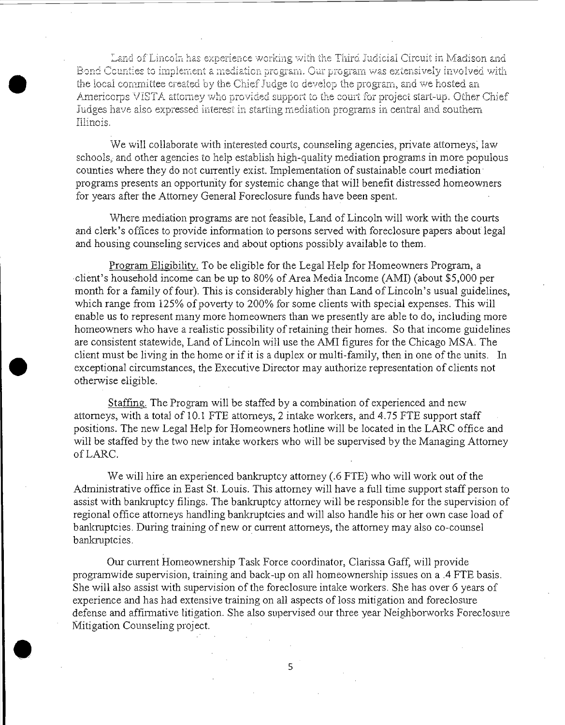Land of Lincoln has experience working with the Third Judicial Circuit in Madison and **Examplement a mediation program.** Our program was extensively involved with the local committee created by the Chief Judge to develop the program, and we hosted an Americorps VISTA attorney who provided support to the cou the local committee created by the Chief Judge to develop the program, and we hosted an Americorps \IISTA attorney who provided support to the court for project start-up. Other Chief Judges have also expressed interest in starting mediation programs in central and southern Illinois.

> We will collaborate with interested courts, counseling agencies, private attorneys, law schools, and other agencies to help establish high-quality mediation programs in more populous counties where they do not currently exist. Implementation of sustainable court mediation programs presents an opportunity for systemic change that will benefit distressed homeowners for years after the Attorney General Foreclosure funds have been spent.

> Where mediation programs are not feasible, Land of Lincoln will work with the courts and clerk's offices to provide information to persons served with foreclosure papers about legal and housing counseling services and about options possibly available to them.

> Program Eligibility. To be eligible for the Legal Help for Homeowners Program, a client's household income can be up to 80% of Area Media Income (AMI) (about \$5,000 per month for a family of four). This is considerably higher than Land of Lincoln's usual guidelines, which range from 125% of poverty to 200% for some clients with special expenses. This will enable us to represent many more homeowners than we presently are able to do, including more homeowners who have a realistic possibility of retaining their homes. So that income guidelines are consistent statewide, Land of Lincoln will use the AMI figures for the Chicago MSA. The client must be living in the home or if it is a duplex or multi-family, then in one of the units. In exceptional circumstances, the Executive Director may authorize representation of clients not otherwise eligible.

•

•

Staffing. The Program will be staffed by a combination of experienced and new attorneys, with a total of 10.1 FTE attorneys, 2 intake workers, and 4.75 FTE support staff positions. The new Legal Help for Homeowners hotline will be located in the LARC office and will be staffed by the two new intake workers who will be supervised by the Managing Attorney ofLARC.

We will hire an experienced bankruptcy attorney (.6 FTE) who will work out of the Administrative office in East St. Louis. This attorney will have a full time support staff person to assist with bankruptcy filings. The bankruptcy attorney will be responsible for the supervision of regional office attorneys handling bankruptcies and will also handle his or her own case load of bankruptcies. During training of new or current attorneys, the attorney may also co-counsel bankruptcies.

Our current Homeownership Task Force coordinator, Clarissa Gaff, will provide programwide supervision, training and back-up on all homeownership issues on a .4 FTE basis. She will also assist with supervision of the foreclosure intake workers. She has over 6 years of experience and has had extensive training on all aspects of loss mitigation and foreclosure defense and affirmative litigation. She also supervised our three year Neighborworks Foreclosure Mitigation Counseling project.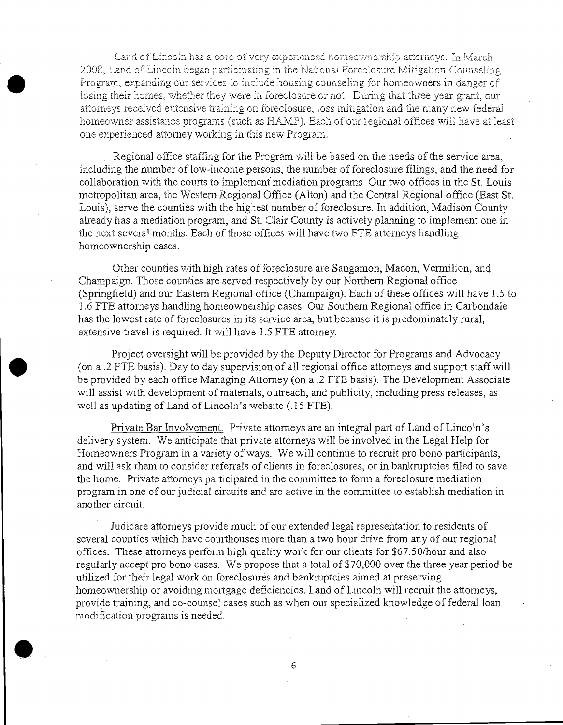Land of Lincoln has a core of very experienced homeownership attorneys. In March 2008, Land of Lincoln began participating in the National Foreclosure Mitigation Counseling Program, expanding our services to include housing counseling for homeowners in danger of losing their homes, whether they were in foreclosure or not. During that three year grant, our attorneys received extensive training on foreclosure, loss mitigation and the many new federal homeowner assistance programs (such as HAMP). Each of our regional offices will have at least one experienced attorney working in this new Program.

Regional office staffing for the Program will be based on the needs of the service area. including the number of low-income persons, the number of foreclosure filings, and the need for collaboration with the courts to implement mediation programs. Our two offices in the St. Louis metropolitan area, the Western Regional Office (Alton) and the Central Regional office (East St. Louis), serve the counties with the highest number of foreclosure. In addition, Madison County already has a mediation program, and St. Clair County is actively planning to implement one in the next several months. Each of those offices will have two FTE attorneys handling homeownership cases.

Other counties with high rates of foreclosure are Sangamon, Macon, Vermilion, and Champaign. Those counties are served respectively by our Northern Regional office (Springfield) and our Eastern Regional office (Champaign). Each of these offices will have 1.5 to 1.6 FTE attorneys handling homeownership cases. Our Southern Regional office in Carbondale has the lowest rate of foreclosures in its service area, but because it is predominately rural, extensive travel is required. It will have 1.5 FTE attorney.

Project oversight will be provided by the Deputy Director for Programs and Advocacy (on a .2 FTE basis). Day to day supervision of all regional office attorneys and support staff will be provided by each office Managing Attorney (on a .2 FTE basis). The Development Associate will assist with development of materials, outreach, and publicity, including press releases, as well as updating of Land of Lincoln's website (.15 FTE).

Private Bar Involvement. Private attorneys are an integral part of Land of Lincoln's delivery system. We anticipate that private attorneys will be involved in the Legal Help for Homeowners Program in a variety of ways. We will continue to recruit pro bono participants, and will ask them to consider referrals of clients in foreclosures, or in bankruptcies filed to save the home. Private attorneys participated in the committee to form a foreclosure mediation program in one of our judicial circuits and are active in the committee to establish mediation in another circuit.

Judicare attorneys provide much of our extended legal representation to residents of several counties which have courthouses more than a two hour drive from any of our regional offices. These attorneys perform high quality work for our clients for \$67.50/hour and also regularly accept pro bono cases. We propose that a total of \$70,000 over the three year period be utilized for their legal work on foreclosures and bankruptcies aimed at preserving homeownership or avoiding mortgage deficiencies. Land of Lincoln will recruit the attomeys, provide training, and co-counsel cases such as when our specialized knowledge of federal loan modification programs is needed.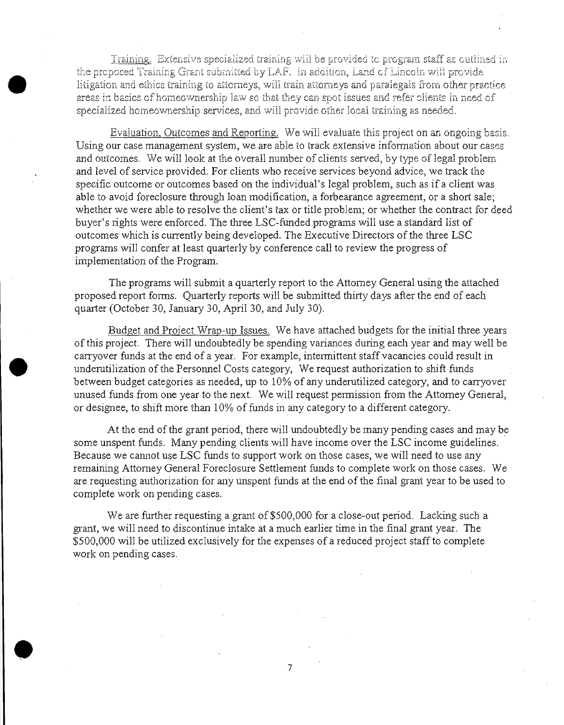Training. Extensive specialized training will be provided to program staff as outlined in the proposed Training Grant submitted **by LPl.F'. In** addition, Land cfLinco!n will prcvide litigation and ethics training to atterneys, will train attenueys and paralegals from other practice areas in basics of homeownership law so that they can spot issues and refer clients in need of specialized horneownership services, and will provide other local training as needed.

•

•

•

Evaluation, Outcomes and Reporting. We will evaluate this project on an ongoing basis. Using our case management system, we are able to track extensive information about our cases and outcomes, We will look at the overall number of clients served, by type of legal problem and level of service provided. For clients who receive services beyond advice, we track the specific outcome or outcomes based on the individual's legal problem, such as if a client was able to avoid foreclosure through loan modification, a forbearance agreement, or a short sale; whether we were able to resolve the client's tax or title problem; or whether the contract for deed buyer's rights were enforced. The three LSC-funded programs will use a standard list of outcomes which is currently being developed. The Executive Directors of the three LSC programs will confer at least quarterly by conference call to review the progress of implementation of the Program.

The programs will submit a quarterly report to the Attomey General using the attached proposed report forms. Quarterly reports will be submitted thirty days after the end of each quarter (October 30, January 30, April 30, and July 30).

Budget and Project Wrap-up Issues. We have attached budgets for the initial three years of this project. There will undoubtedly be spending variances during each year and may well be carryover funds at the end of a year. For example, intermittent staff vacancies could result in underutilization of the Personnel Costs category, We request authorization to shift funds between budget categories as needed, up to 10% of any underutilized category, and to carryover unused funds from one year to the next. We will request permission from the Attorney General, or designee, to shift more than 10% of funds in any category to a different category.

At the end of the grant period, there will undoubtedly be many pending cases and may be some unspent funds. Many pending clients will have income over the LSC income guidelines. Because we cannot use LSC funds to support work on those cases, we will need to use any remaining Attorney General Foreclosure Settlement funds to complete work on those cases. We are requesting authorization for any unspent funds at the end of the final grant year to be used to complete work on pending cases.

We are further requesting a grant of \$500,000 for a close-out period. Lacking such a grant, we will need to discontinue intake at a much earlier time in the final grant year. The \$500,000 will be utilized exclusively for the expenses of a reduced project staff to complete work on pending cases.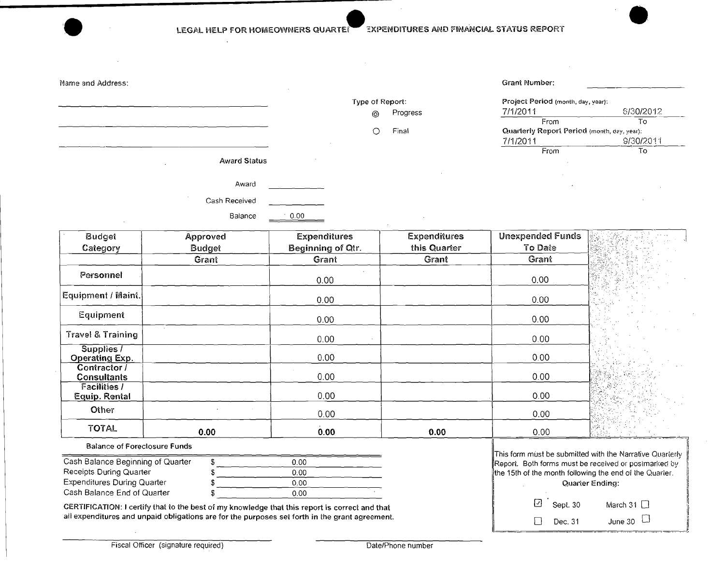EXPENDITURES AND FINANCIAL STATUS REPORT LEGAL HELP FOR HOMEOWNERS QUARTER

|                     | $-$                    |                                             |           |
|---------------------|------------------------|---------------------------------------------|-----------|
| Name and Address:   |                        | Grant Number:                               |           |
|                     | Type of Report:        | Project Period (month, day, year):          |           |
|                     | Progress<br>$^{\circ}$ | 7/1/2011                                    | 6/30/2012 |
|                     |                        | From                                        | To        |
|                     | Final<br>О             | Quarterly Report Period (month, day, year): |           |
|                     |                        | 7/1/2011                                    | 9/30/2011 |
|                     |                        | From                                        | To        |
| <b>Award Status</b> |                        |                                             |           |
|                     |                        |                                             |           |
| Award               |                        | $\cdot$                                     |           |
| Cash Received       |                        |                                             |           |
|                     |                        |                                             |           |
| Balance<br>0.00     |                        |                                             |           |
|                     |                        |                                             |           |

| <b>Budget</b>                        | Approved | <b>Expenditures</b> | <b>Expenditures</b> | <b>Unexpended Funds</b> |                    |
|--------------------------------------|----------|---------------------|---------------------|-------------------------|--------------------|
| Category                             | Budget   | Beginning of Qtr.   | this Quarter        | To Date                 |                    |
|                                      | Grant    | Grant               | Grant               | Grant                   |                    |
| Personnel                            |          | 0.00                |                     | 0.00                    |                    |
| Equipment / Maint.                   |          | 0.00                |                     | 0.00                    |                    |
| Equipment                            |          | 0.00                |                     | 0.00                    |                    |
| Travel & Training                    |          | 0.00                |                     | 0.00                    |                    |
| Supplies /<br>Operating Exp.         |          | 0.00                |                     | 0.00                    |                    |
| Contractor /<br><b>Consultants</b>   |          | 0.00                |                     | 0.00                    | $\alpha$ , $\beta$ |
| <b>Facilities /</b><br>Equip. Rental |          | 0.00                |                     | 0.00                    |                    |
| Other                                |          | 0.00                |                     | 0.00                    |                    |
| <b>TOTAL</b>                         | 0.00     | 0.00                | 0.00                | 0.00                    | 收入                 |

**Balance of Foreclosure Funds** 

| Cash Balance Beginning of Quarter  | 0.00 |  |
|------------------------------------|------|--|
| Receipts During Quarter            | 0.00 |  |
| <b>Expenditures During Quarter</b> | 0.00 |  |
| Cash Balance End of Quarter        | 0.00 |  |

CERTIFICATION: I certify that to the best of my knowledge that this report is correct and that<br>all expenditures and unpaid obligations are for the purposes set forth in the grant agreement.

| This form must be submitted with the Narrative Quarterly |  |  |  |
|----------------------------------------------------------|--|--|--|
| Report. Both forms must be received or postmarked by     |  |  |  |
| the 15th of the month following the end of the Quarter.  |  |  |  |
| Quarter Ending:                                          |  |  |  |

| $\Box$ Sept. 30       | March 31 $\Box$ |
|-----------------------|-----------------|
| $\vert \vert$ Dec. 31 | June 30 $\Box$  |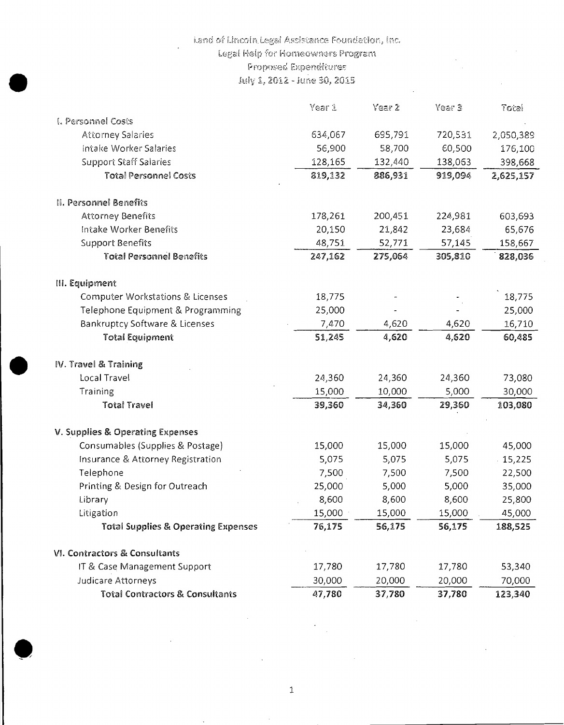# Land of Lincoln Legal Assistance Foundation, Inc.

Legal Help for Homeowners Program

Proposed Expenditures

July 1, 2012 - June 30, 2015

|                                                | Year 1  | Year 2  | Year 3  | Total     |
|------------------------------------------------|---------|---------|---------|-----------|
| I. Personnel Costs                             |         |         |         |           |
| Attorney Salaries                              | 634,067 | 695,791 | 720,531 | 2,050,389 |
| Intake Worker Salaries                         | 56,900  | 58,700  | 60,500  | 176,100   |
| <b>Support Staff Salaries</b>                  | 128,165 | 132,440 | 138,063 | 398,668   |
| <b>Total Personnel Costs</b>                   | 819,132 | 886,931 | 919,094 | 2,625,157 |
| II. Personnel Benefits                         |         |         |         |           |
| <b>Attorney Benefits</b>                       | 178,261 | 200,451 | 224,981 | 603,693   |
| Intake Worker Benefits                         | 20,150  | 21,842  | 23,684  | 65,676    |
| <b>Support Benefits</b>                        | 48,751  | 52,771  | 57,145  | 158,667   |
| <b>Total Personnel Benefits</b>                | 247,162 | 275,064 | 305,810 | 828,036   |
| III. Equipment                                 |         |         |         |           |
| <b>Computer Workstations &amp; Licenses</b>    | 18,775  |         |         | 18,775    |
| Telephone Equipment & Programming              | 25,000  |         |         | 25,000    |
| Bankruptcy Software & Licenses                 | 7,470   | 4,620   | 4,620   | 16,710    |
| <b>Total Equipment</b>                         | 51,245  | 4,620   | 4,620   | 60,485    |
| IV. Travel & Training                          |         |         |         |           |
| Local Travel                                   | 24,360  | 24,360  | 24,360  | 73,080    |
| Training                                       | 15,000  | 10,000  | 5,000   | 30,000    |
| <b>Total Travel</b>                            | 39,360  | 34,360  | 29,360  | 103,080   |
| V. Supplies & Operating Expenses               |         |         |         |           |
| Consumables (Supplies & Postage)               | 15,000  | 15,000  | 15,000  | 45,000    |
| Insurance & Attorney Registration              | 5,075   | 5,075   | 5,075   | 15,225    |
| Telephone                                      | 7,500   | 7,500   | 7,500   | 22,500    |
| Printing & Design for Outreach                 | 25,000  | 5,000   | 5,000   | 35,000    |
| Library                                        | 8,600   | 8,600   | 8,600   | 25,800    |
| Litigation                                     | 15,000  | 15,000  | 15,000  | 45,000    |
| <b>Total Supplies &amp; Operating Expenses</b> | 76,175  | 56,175  | 56,175  | 188,525   |
| VI. Contractors & Consultants                  |         |         |         |           |
| IT & Case Management Support                   | 17,780  | 17,780  | 17,780  | 53,340    |
| Judicare Attorneys                             | 30,000  | 20,000  | 20,000  | 70,000    |
| <b>Total Contractors &amp; Consultants</b>     | 47,780  | 37,780  | 37,780  | 123,340   |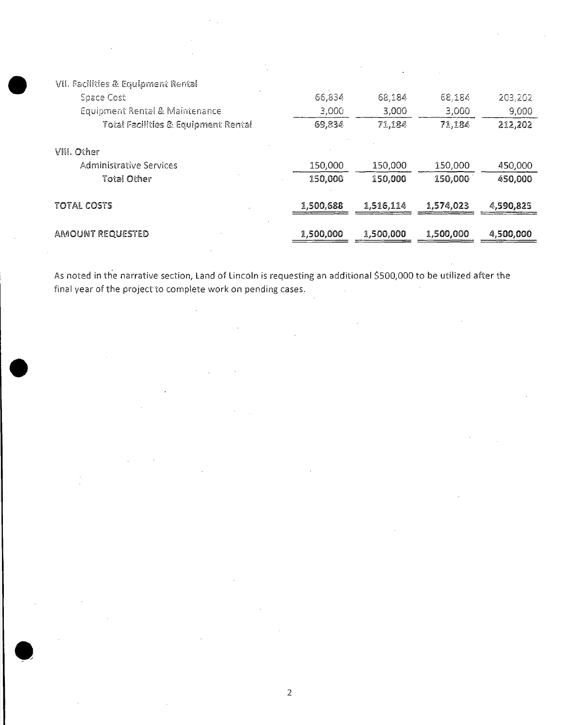| VII. Facilities & Equipment Rental  |           |           |           |           |
|-------------------------------------|-----------|-----------|-----------|-----------|
| <b>Space Cost</b>                   | 66,834    | 68,184    | 68,184    | 203,202   |
| Equipment Rental & Maintenance      | 3,000     | 3,000     | 3,000     | 9,000     |
| Total Facilities & Equipment Rental | 69,834    | 71,184    | 71,184    | 212,202   |
| VIII. Other                         |           |           |           |           |
| Administrative Services             | 150,000   | 150,000   | 150,000   | 450,000   |
| Total Other                         | 150,000   | 150,000   | 150,000   | 450,000   |
| TOTAL COSTS                         | 1,500,688 | 1,516,114 | 1,574,023 | 4,590,825 |
| AMOUNT REQUESTED                    | 1,500,000 | 1,500,000 | 1,500,000 | 4,500,000 |

As noted in the narrative section, Land of Lincoln is requesting an additional \$500,000 to be utilized after the final year of the project to complete work on pending cases.  $\ddot{\phantom{a}}$ 

J,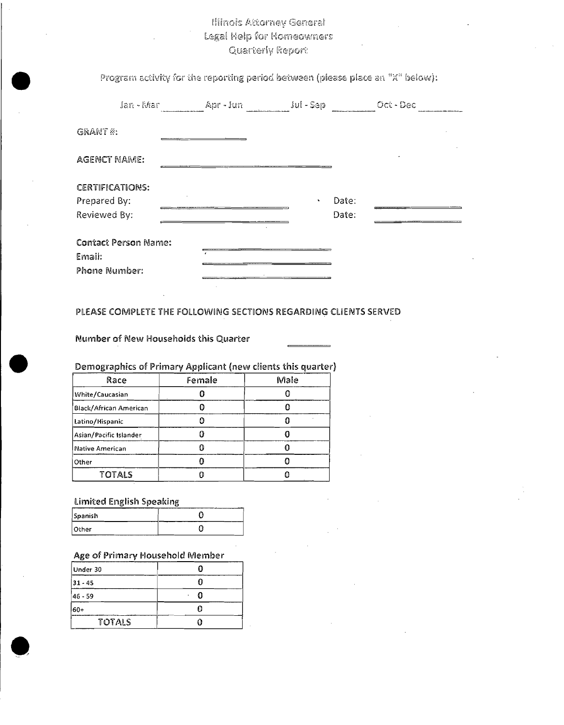# **Illinois Attorney General** Legal Help for Homeowners **Quarterly Report**

Program activity for the reporting period between (please place an "X" below):

| Jan - Mar                                              | Apr - Jun | <b>Jul - Sep</b>              | Oct - Dec |
|--------------------------------------------------------|-----------|-------------------------------|-----------|
| GRANT #:                                               |           |                               |           |
| <b>AGENCT NAME:</b>                                    |           |                               |           |
| <b>CERTIFICATIONS:</b><br>Prepared By:                 |           | Date:<br>$\ddot{\phantom{1}}$ |           |
| Reviewed By:                                           |           | Date:                         |           |
| <b>Contact Person Name:</b><br>Email:<br>Phone Number: |           |                               |           |

### PLEASE COMPLETE THE FOLLOWING SECTIONS REGARDING CLIENTS SERVED

Number of New Households this Quarter

Demographics of Primary Applicant (new clients this quarter)

| Race                   | Female | Male |
|------------------------|--------|------|
| White/Caucasian        |        |      |
| Black/African American |        |      |
| Latino/Hispanic        |        |      |
| Asian/Pacific Islander |        |      |
| Native American        |        |      |
| Other                  |        |      |
| <b>TOTALS</b>          |        |      |

### **Limited English Speaking**

| Spanish |  |
|---------|--|
| 10ther  |  |

### Age of Primary Household Member

| Under 30   |  |
|------------|--|
| $ 31 - 45$ |  |
| 46 - 59    |  |
| 60+        |  |
| TOTALS     |  |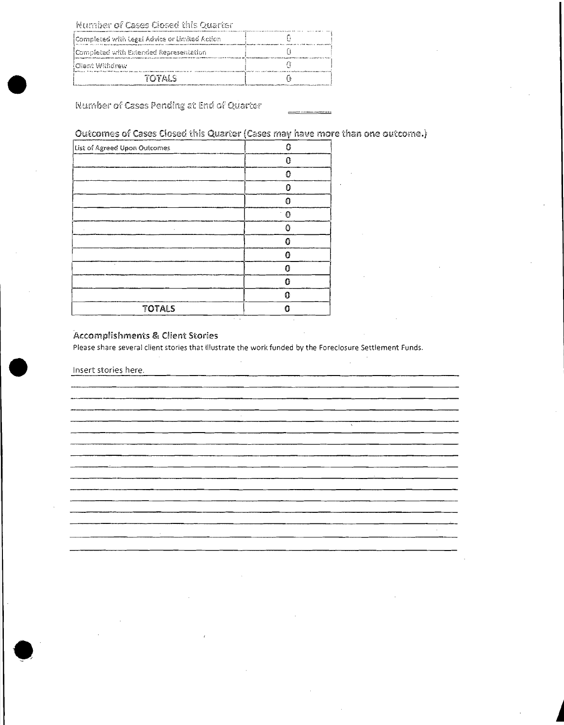Number of Cases Closed this Quarter

| Completed with Legal Advice or Limited Action |  |
|-----------------------------------------------|--|
| Completed with Extended Representation        |  |
| i Client Withdrew                             |  |
| ていてんしく                                        |  |

Number of Cases Pending at End of Quarter

Outcomes of Cases Closed this Quarter (Cases may have more than one outcome.)

| List of Agreed Upon Outcomes<br>×, | Ω              |
|------------------------------------|----------------|
|                                    | 0              |
|                                    | Ω              |
|                                    | 0              |
|                                    | $\mathbf 0$    |
|                                    | $\Omega$<br>ł, |
|                                    | Ω              |
|                                    | 0              |
|                                    | റ              |
|                                    | O              |
|                                    | Ω              |
|                                    | ດ              |
| <b>TOTALS</b>                      | Ω              |

### Accomplishments & Client Stories

Please share several client stories that illustrate the work funded by the Foreclosure Settlement Funds.

Insert stories here.